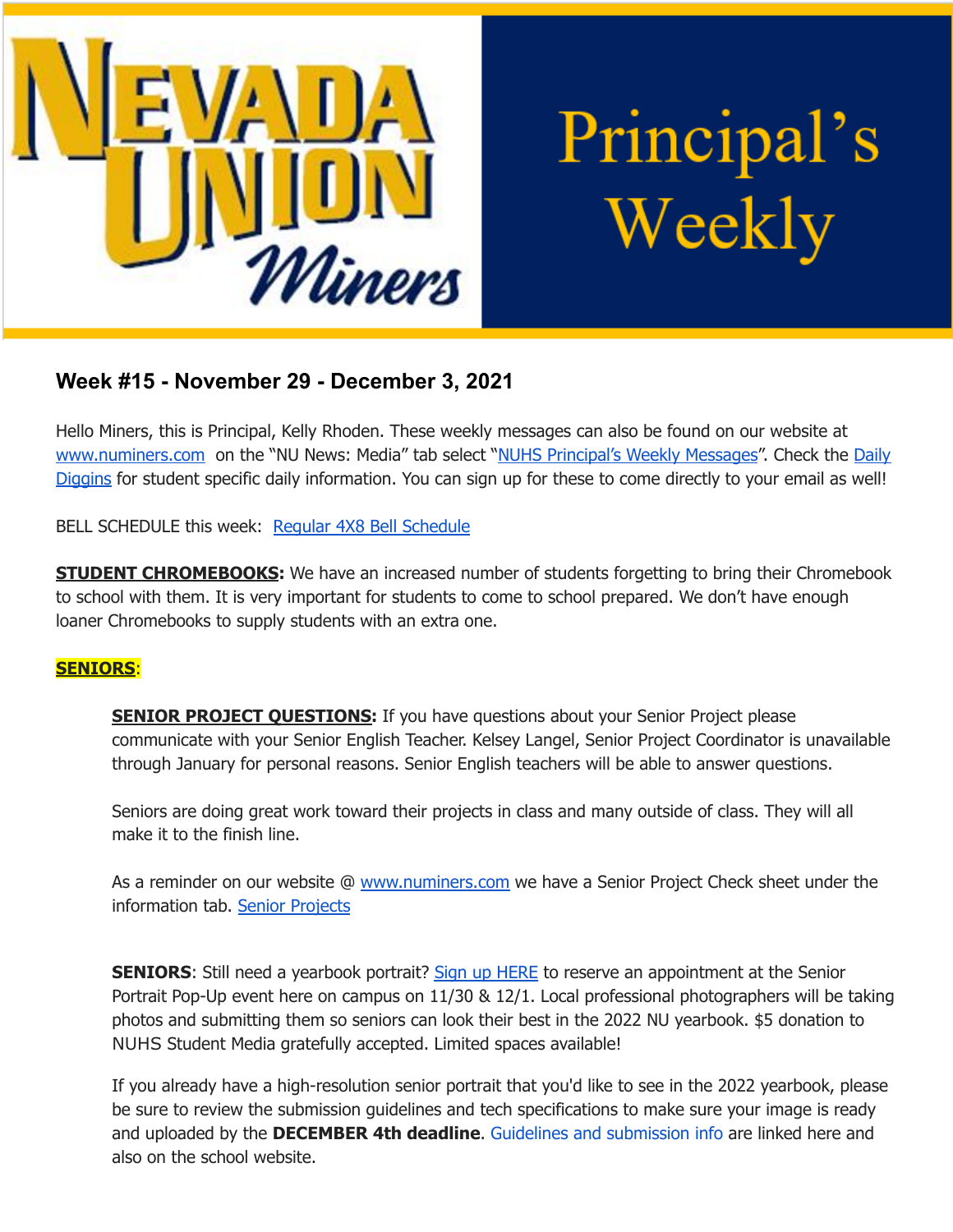

# Principal's Weekly

## **Week #15 - November 29 - December 3, 2021**

Hello Miners, this is Principal, Kelly Rhoden. These weekly messages can also be found on our website at [www.numiners.com](http://www.numiners.com) on the "NU News: Media" tab select "NUHS [Principal's](https://nevadaunion.njuhsd.com/NU-NewsMedia/NUHS-Principals-Weekly-Messages/index.html) Weekly Messages". Check the [Daily](https://nevadaunion.njuhsd.com/NU-NewsMedia/Daily-Diggins-Bulletin/index.html) [Diggins](https://nevadaunion.njuhsd.com/NU-NewsMedia/Daily-Diggins-Bulletin/index.html) for student specific daily information. You can sign up for these to come directly to your email as well!

BELL SCHEDULE this week: Regular 4X8 Bell [Schedule](https://nevadaunion.njuhsd.com/documents/Bell%20Schedules/Bell-Schedule-2021-2022-NUHS-4x8.pdf)

**STUDENT CHROMEBOOKS:** We have an increased number of students forgetting to bring their Chromebook to school with them. It is very important for students to come to school prepared. We don't have enough loaner Chromebooks to supply students with an extra one.

#### **SENIORS**:

**SENIOR PROJECT QUESTIONS:** If you have questions about your Senior Project please communicate with your Senior English Teacher. Kelsey Langel, Senior Project Coordinator is unavailable through January for personal reasons. Senior English teachers will be able to answer questions.

Seniors are doing great work toward their projects in class and many outside of class. They will all make it to the finish line.

As a reminder on our website @ [www.numiners.com](http://www.numiners.com) we have a Senior Project Check sheet under the information tab. Senior [Projects](https://nevadaunion.njuhsd.com/Information/Senior-Project/index.html)

**SENIORS:** Still need a yearbook portrait? Sign up [HERE](https://www.signupgenius.com/go/10C0F4AAEAB2FA7FBC07-class) to reserve an appointment at the Senior Portrait Pop-Up event here on campus on 11/30 & 12/1. Local professional photographers will be taking photos and submitting them so seniors can look their best in the 2022 NU yearbook. \$5 donation to NUHS Student Media gratefully accepted. Limited spaces available!

If you already have a high-resolution senior portrait that you'd like to see in the 2022 yearbook, please be sure to review the submission guidelines and tech specifications to make sure your image is ready and uploaded by the **DECEMBER 4th deadline**. Guidelines and submission info are linked here and also on the school website.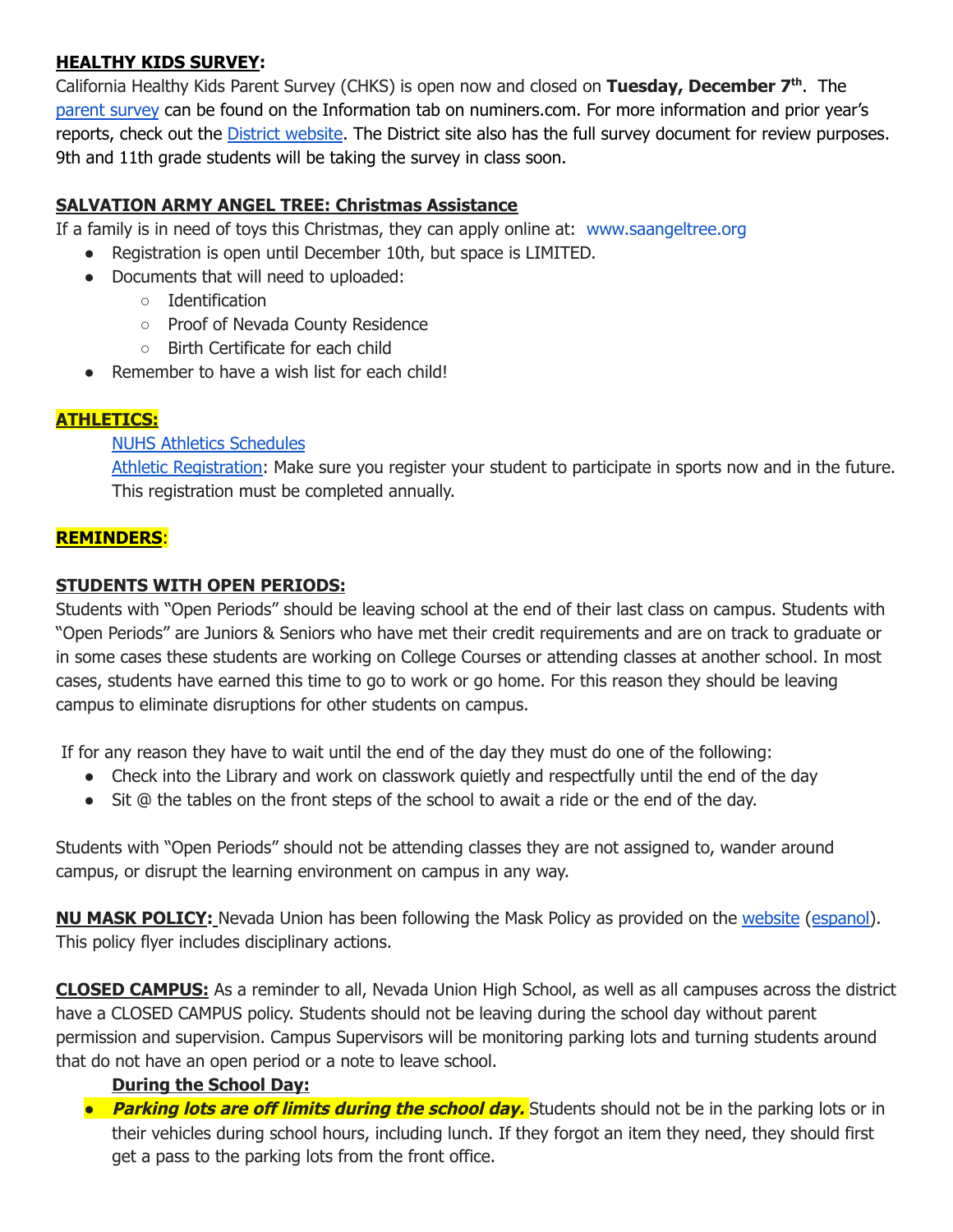#### **HEALTHY KIDS SURVEY:**

California Healthy Kids Parent Survey (CHKS) is open now and closed on **Tuesday, December 7 th** . The [parent](https://wested.ugam-apps.com/wed/ts/cQ4y) survey can be found on the Information tab on numiners.com. For more information and prior year's reports, check out the District [website](https://www.njuhsd.com/Parents/Health--Safety/index.html). The District site also has the full survey document for review purposes. 9th and 11th grade students will be taking the survey in class soon.

### **SALVATION ARMY ANGEL TREE: Christmas Assistance**

If a family is in need of toys this Christmas, they can apply online at: [www.saangeltree.org](http://www.saangeltree.org/)

- Registration is open until December 10th, but space is LIMITED.
- Documents that will need to uploaded:
	- Identification
	- Proof of Nevada County Residence
	- Birth Certificate for each child
- Remember to have a wish list for each child!

#### **ATHLETICS:**

#### NUHS Athletics [Schedules](https://nevadaunion.njuhsd.com/Athletics/Sports-Calendar--Schedules/index.html)

Athletic [Registration:](https://nevadaunion.njuhsd.com/Athletics/How-to-Register-For-a-Sport/index.html) Make sure you register your student to participate in sports now and in the future. This registration must be completed annually.

#### **REMINDERS**:

#### **STUDENTS WITH OPEN PERIODS:**

Students with "Open Periods" should be leaving school at the end of their last class on campus. Students with "Open Periods" are Juniors & Seniors who have met their credit requirements and are on track to graduate or in some cases these students are working on College Courses or attending classes at another school. In most cases, students have earned this time to go to work or go home. For this reason they should be leaving campus to eliminate disruptions for other students on campus.

If for any reason they have to wait until the end of the day they must do one of the following:

- Check into the Library and work on classwork quietly and respectfully until the end of the day
- Sit @ the tables on the front steps of the school to await a ride or the end of the day.

Students with "Open Periods" should not be attending classes they are not assigned to, wander around campus, or disrupt the learning environment on campus in any way.

**NU MASK POLICY:** Nevada Union has been following the Mask Policy as provided on the [website](https://nevadaunion.njuhsd.com/documents/Nevada%20Union%20HS/Information/Annual%20Forms/21.22.NUHS.MASK.RULES.pdf) ([espanol\)](https://nevadaunion.njuhsd.com/documents/Nevada%20Union%20HS/Information/Annual%20Forms/Spanish-21.22.NUHS.MASK.RULES.pdf). This policy flyer includes disciplinary actions.

**CLOSED CAMPUS:** As a reminder to all, Nevada Union High School, as well as all campuses across the district have a CLOSED CAMPUS policy. Students should not be leaving during the school day without parent permission and supervision. Campus Supervisors will be monitoring parking lots and turning students around that do not have an open period or a note to leave school.

#### **During the School Day:**

*●* **Parking lots are off limits during the school day.** Students should not be in the parking lots or in their vehicles during school hours, including lunch. If they forgot an item they need, they should first get a pass to the parking lots from the front office.